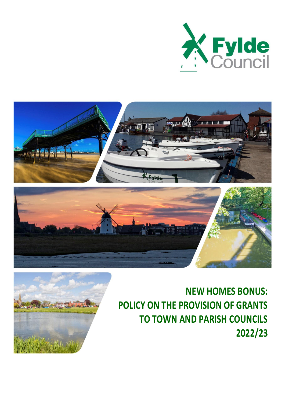







**NEW HOMES BONUS: POLICY ON THE PROVISION OF GRANTS TO TOWN AND PARISH COUNCILS 2022/23**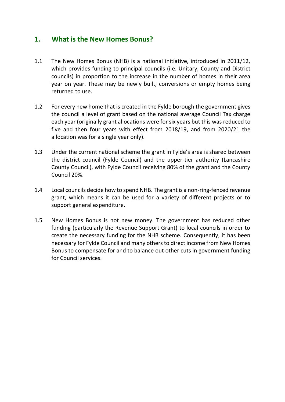### **1. What is the New Homes Bonus?**

- 1.1 The New Homes Bonus (NHB) is a national initiative, introduced in 2011/12, which provides funding to principal councils (i.e. Unitary, County and District councils) in proportion to the increase in the number of homes in their area year on year. These may be newly built, conversions or empty homes being returned to use.
- 1.2 For every new home that is created in the Fylde borough the government gives the council a level of grant based on the national average Council Tax charge each year (originally grant allocations were for six years but this was reduced to five and then four years with effect from 2018/19, and from 2020/21 the allocation was for a single year only).
- 1.3 Under the current national scheme the grant in Fylde's area is shared between the district council (Fylde Council) and the upper-tier authority (Lancashire County Council), with Fylde Council receiving 80% of the grant and the County Council 20%.
- 1.4 Local councils decide how to spend NHB. The grant is a non-ring-fenced revenue grant, which means it can be used for a variety of different projects or to support general expenditure.
- 1.5 New Homes Bonus is not new money. The government has reduced other funding (particularly the Revenue Support Grant) to local councils in order to create the necessary funding for the NHB scheme. Consequently, it has been necessary for Fylde Council and many others to direct income from New Homes Bonus to compensate for and to balance out other cuts in government funding for Council services.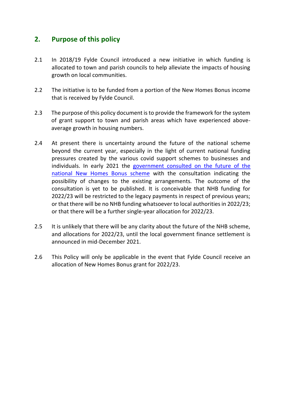### **2. Purpose of this policy**

- 2.1 In 2018/19 Fylde Council introduced a new initiative in which funding is allocated to town and parish councils to help alleviate the impacts of housing growth on local communities.
- 2.2 The initiative is to be funded from a portion of the New Homes Bonus income that is received by Fylde Council.
- 2.3 The purpose of this policy document is to provide the framework for the system of grant support to town and parish areas which have experienced aboveaverage growth in housing numbers.
- 2.4 At present there is uncertainty around the future of the national scheme beyond the current year, especially in the light of current national funding pressures created by the various covid support schemes to businesses and individuals. In early 2021 the [government consulted on the future of the](https://www.gov.uk/government/consultations/the-future-of-the-new-homes-bonus-consultation)  [national New Homes Bonus scheme](https://www.gov.uk/government/consultations/the-future-of-the-new-homes-bonus-consultation) with the consultation indicating the possibility of changes to the existing arrangements. The outcome of the consultation is yet to be published. It is conceivable that NHB funding for 2022/23 will be restricted to the legacy payments in respect of previous years; or that there will be no NHB funding whatsoever to local authorities in 2022/23; or that there will be a further single-year allocation for 2022/23.
- 2.5 It is unlikely that there will be any clarity about the future of the NHB scheme, and allocations for 2022/23, until the local government finance settlement is announced in mid-December 2021.
- 2.6 This Policy will only be applicable in the event that Fylde Council receive an allocation of New Homes Bonus grant for 2022/23.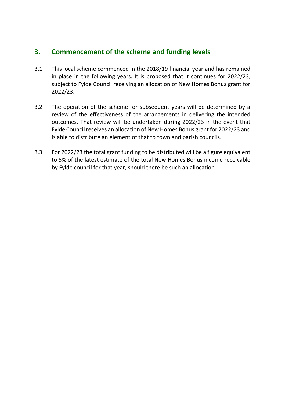# **3. Commencement of the scheme and funding levels**

- 3.1 This local scheme commenced in the 2018/19 financial year and has remained in place in the following years. It is proposed that it continues for 2022/23, subject to Fylde Council receiving an allocation of New Homes Bonus grant for 2022/23.
- 3.2 The operation of the scheme for subsequent years will be determined by a review of the effectiveness of the arrangements in delivering the intended outcomes. That review will be undertaken during 2022/23 in the event that Fylde Council receives an allocation of New Homes Bonus grant for 2022/23 and is able to distribute an element of that to town and parish councils.
- 3.3 For 2022/23 the total grant funding to be distributed will be a figure equivalent to 5% of the latest estimate of the total New Homes Bonus income receivable by Fylde council for that year, should there be such an allocation.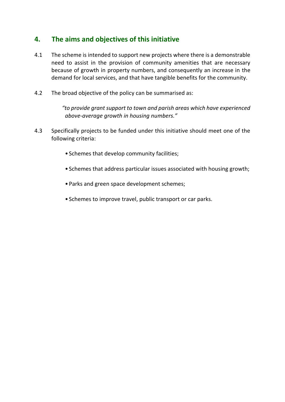# **4. The aims and objectives of this initiative**

- 4.1 The scheme is intended to support new projects where there is a demonstrable need to assist in the provision of community amenities that are necessary because of growth in property numbers, and consequently an increase in the demand for local services, and that have tangible benefits for the community.
- 4.2 The broad objective of the policy can be summarised as:

 *"to provide grant support to town and parish areas which have experienced above-average growth in housing numbers."*

- 4.3 Specifically projects to be funded under this initiative should meet one of the following criteria:
	- Schemes that develop community facilities;
	- Schemes that address particular issues associated with housing growth;
	- Parks and green space development schemes;
	- Schemes to improve travel, public transport or car parks.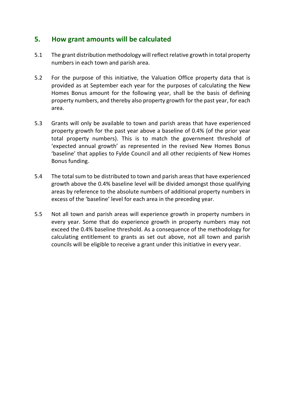### **5. How grant amounts will be calculated**

- 5.1 The grant distribution methodology will reflect relative growth in total property numbers in each town and parish area.
- 5.2 For the purpose of this initiative, the Valuation Office property data that is provided as at September each year for the purposes of calculating the New Homes Bonus amount for the following year, shall be the basis of defining property numbers, and thereby also property growth for the past year, for each area.
- 5.3 Grants will only be available to town and parish areas that have experienced property growth for the past year above a baseline of 0.4% (of the prior year total property numbers). This is to match the government threshold of 'expected annual growth' as represented in the revised New Homes Bonus 'baseline' that applies to Fylde Council and all other recipients of New Homes Bonus funding.
- 5.4 The total sum to be distributed to town and parish areas that have experienced growth above the 0.4% baseline level will be divided amongst those qualifying areas by reference to the absolute numbers of additional property numbers in excess of the 'baseline' level for each area in the preceding year.
- 5.5 Not all town and parish areas will experience growth in property numbers in every year. Some that do experience growth in property numbers may not exceed the 0.4% baseline threshold. As a consequence of the methodology for calculating entitlement to grants as set out above, not all town and parish councils will be eligible to receive a grant under this initiative in every year.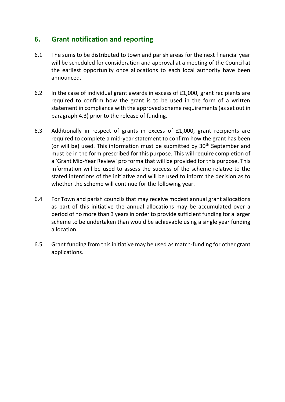## **6. Grant notification and reporting**

- 6.1 The sums to be distributed to town and parish areas for the next financial year will be scheduled for consideration and approval at a meeting of the Council at the earliest opportunity once allocations to each local authority have been announced.
- 6.2 In the case of individual grant awards in excess of £1,000, grant recipients are required to confirm how the grant is to be used in the form of a written statement in compliance with the approved scheme requirements (as set out in paragraph 4.3) prior to the release of funding.
- 6.3 Additionally in respect of grants in excess of £1,000, grant recipients are required to complete a mid-year statement to confirm how the grant has been (or will be) used. This information must be submitted by 30<sup>th</sup> September and must be in the form prescribed for this purpose. This will require completion of a 'Grant Mid-Year Review' pro forma that will be provided for this purpose. This information will be used to assess the success of the scheme relative to the stated intentions of the initiative and will be used to inform the decision as to whether the scheme will continue for the following year.
- 6.4 For Town and parish councils that may receive modest annual grant allocations as part of this initiative the annual allocations may be accumulated over a period of no more than 3 years in order to provide sufficient funding for a larger scheme to be undertaken than would be achievable using a single year funding allocation.
- 6.5 Grant funding from this initiative may be used as match-funding for other grant applications.